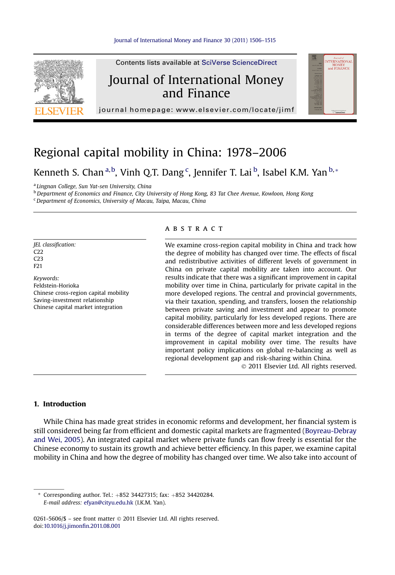

## Regional capital mobility in China: 1978–2006

Kenneth S. Chan <sup>a,b</sup>, Vinh Q.T. Dang <sup>c</sup>, Jennifer T. Lai <sup>b</sup>, Isabel K.M. Yan <sup>b,</sup>\*

<sup>a</sup> Lingnan College, Sun Yat-sen University, China

<sup>b</sup> Department of Economics and Finance, City University of Hong Kong, 83 Tat Chee Avenue, Kowloon, Hong Kong

 $c$  Department of Economics, University of Macau, Taipa, Macau, China

JEL classification: C<sub>22</sub> C23 F21

Keywords: Feldstein-Horioka Chinese cross-region capital mobility Saving-investment relationship Chinese capital market integration

## **ABSTRACT**

We examine cross-region capital mobility in China and track how the degree of mobility has changed over time. The effects of fiscal and redistributive activities of different levels of government in China on private capital mobility are taken into account. Our results indicate that there was a significant improvement in capital mobility over time in China, particularly for private capital in the more developed regions. The central and provincial governments, via their taxation, spending, and transfers, loosen the relationship between private saving and investment and appear to promote capital mobility, particularly for less developed regions. There are considerable differences between more and less developed regions in terms of the degree of capital market integration and the improvement in capital mobility over time. The results have important policy implications on global re-balancing as well as regional development gap and risk-sharing within China.

2011 Elsevier Ltd. All rights reserved.

## 1. Introduction

While China has made great strides in economic reforms and development, her financial system is still considered being far from efficient and domestic capital markets are fragmented ([Boyreau-Debray](#page--1-0) [and Wei, 2005](#page--1-0)). An integrated capital market where private funds can flow freely is essential for the Chinese economy to sustain its growth and achieve better efficiency. In this paper, we examine capital mobility in China and how the degree of mobility has changed over time. We also take into account of

 $*$  Corresponding author. Tel.:  $+852$  34427315; fax:  $+852$  34420284. E-mail address: [efyan@cityu.edu.hk](mailto:efyan@cityu.edu.hk) (I.K.M. Yan).

0261-5606/\$ - see front matter © 2011 Elsevier Ltd. All rights reserved. doi:[10.1016/j.jimon](http://dx.doi.org/10.1016/j.jimonfin.2011.08.001)fin.2011.08.001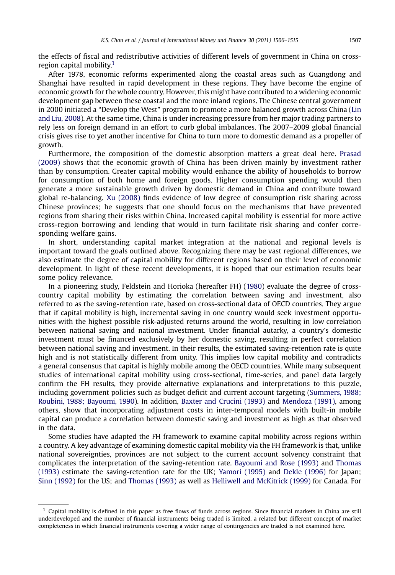the effects of fiscal and redistributive activities of different levels of government in China on crossregion capital mobility.<sup>1</sup>

After 1978, economic reforms experimented along the coastal areas such as Guangdong and Shanghai have resulted in rapid development in these regions. They have become the engine of economic growth for the whole country. However, this might have contributed to a widening economic development gap between these coastal and the more inland regions. The Chinese central government in 2000 initiated a "Develop the West" program to promote a more balanced growth across China [\(Lin](#page--1-0) [and Liu, 2008\)](#page--1-0). At the same time, China is under increasing pressure from her major trading partners to rely less on foreign demand in an effort to curb global imbalances. The 2007–2009 global financial crisis gives rise to yet another incentive for China to turn more to domestic demand as a propeller of growth.

Furthermore, the composition of the domestic absorption matters a great deal here. [Prasad](#page--1-0) [\(2009\)](#page--1-0) shows that the economic growth of China has been driven mainly by investment rather than by consumption. Greater capital mobility would enhance the ability of households to borrow for consumption of both home and foreign goods. Higher consumption spending would then generate a more sustainable growth driven by domestic demand in China and contribute toward global re-balancing. [Xu \(2008\)](#page--1-0) finds evidence of low degree of consumption risk sharing across Chinese provinces; he suggests that one should focus on the mechanisms that have prevented regions from sharing their risks within China. Increased capital mobility is essential for more active cross-region borrowing and lending that would in turn facilitate risk sharing and confer corresponding welfare gains.

In short, understanding capital market integration at the national and regional levels is important toward the goals outlined above. Recognizing there may be vast regional differences, we also estimate the degree of capital mobility for different regions based on their level of economic development. In light of these recent developments, it is hoped that our estimation results bear some policy relevance.

In a pioneering study, Feldstein and Horioka (hereafter FH) ([1980](#page--1-0)) evaluate the degree of crosscountry capital mobility by estimating the correlation between saving and investment, also referred to as the saving-retention rate, based on cross-sectional data of OECD countries. They argue that if capital mobility is high, incremental saving in one country would seek investment opportunities with the highest possible risk-adjusted returns around the world, resulting in low correlation between national saving and national investment. Under financial autarky, a country's domestic investment must be financed exclusively by her domestic saving, resulting in perfect correlation between national saving and investment. In their results, the estimated saving-retention rate is quite high and is not statistically different from unity. This implies low capital mobility and contradicts a general consensus that capital is highly mobile among the OECD countries. While many subsequent studies of international capital mobility using cross-sectional, time-series, and panel data largely confirm the FH results, they provide alternative explanations and interpretations to this puzzle, including government policies such as budget deficit and current account targeting [\(Summers, 1988;](#page--1-0) [Roubini, 1988; Bayoumi, 1990](#page--1-0)). In addition, [Baxter and Crucini \(1993\)](#page--1-0) and [Mendoza \(1991\),](#page--1-0) among others, show that incorporating adjustment costs in inter-temporal models with built-in mobile capital can produce a correlation between domestic saving and investment as high as that observed in the data.

Some studies have adapted the FH framework to examine capital mobility across regions within a country. A key advantage of examining domestic capital mobility via the FH framework is that, unlike national sovereignties, provinces are not subject to the current account solvency constraint that complicates the interpretation of the saving-retention rate. [Bayoumi and Rose \(1993\)](#page--1-0) and [Thomas](#page--1-0) [\(1993\)](#page--1-0) estimate the saving-retention rate for the UK; [Yamori \(1995\)](#page--1-0) and [Dekle \(1996\)](#page--1-0) for Japan; [Sinn \(1992\)](#page--1-0) for the US; and [Thomas \(1993\)](#page--1-0) as well as [Helliwell and McKitrick \(1999\)](#page--1-0) for Canada. For

 $<sup>1</sup>$  Capital mobility is defined in this paper as free flows of funds across regions. Since financial markets in China are still</sup> underdeveloped and the number of financial instruments being traded is limited, a related but different concept of market completeness in which financial instruments covering a wider range of contingencies are traded is not examined here.